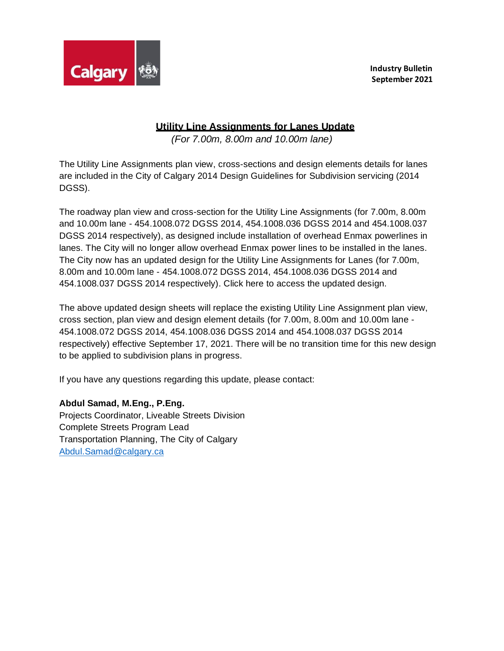

**Industry Bulletin September 2021**

## **Utility Line Assignments for Lanes Update**

*(For 7.00m, 8.00m and 10.00m lane)*

The Utility Line Assignments plan view, cross-sections and design elements details for lanes are included in the City of Calgary 2014 Design Guidelines for Subdivision servicing (2014 DGSS).

The roadway plan view and cross-section for the Utility Line Assignments (for 7.00m, 8.00m and 10.00m lane - 454.1008.072 DGSS 2014, 454.1008.036 DGSS 2014 and 454.1008.037 DGSS 2014 respectively), as designed include installation of overhead Enmax powerlines in lanes. The City will no longer allow overhead Enmax power lines to be installed in the lanes. The City now has an updated design for the Utility Line Assignments for Lanes (for 7.00m, 8.00m and 10.00m lane - 454.1008.072 DGSS 2014, 454.1008.036 DGSS 2014 and 454.1008.037 DGSS 2014 respectively). Click here to access the updated design.

The above updated design sheets will replace the existing Utility Line Assignment plan view, cross section, plan view and design element details (for 7.00m, 8.00m and 10.00m lane - 454.1008.072 DGSS 2014, 454.1008.036 DGSS 2014 and 454.1008.037 DGSS 2014 respectively) effective September 17, 2021. There will be no transition time for this new design to be applied to subdivision plans in progress.

If you have any questions regarding this update, please contact:

## **Abdul Samad, M.Eng., P.Eng.**

Projects Coordinator, Liveable Streets Division Complete Streets Program Lead Transportation Planning, The City of Calgary [Abdul.Samad@calgary.ca](mailto:Abdul.Samad@calgary.ca)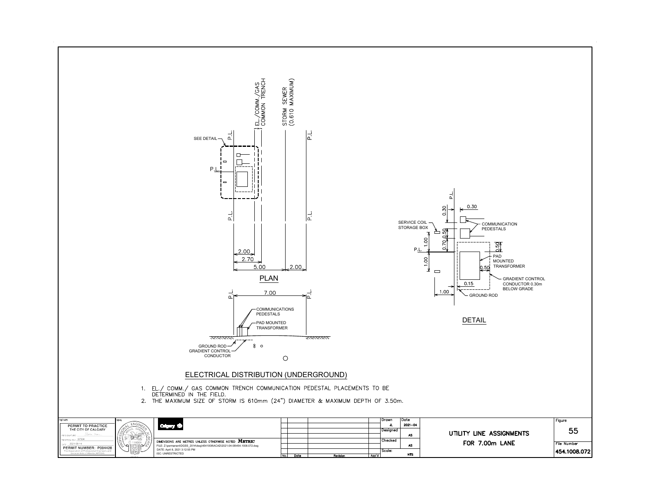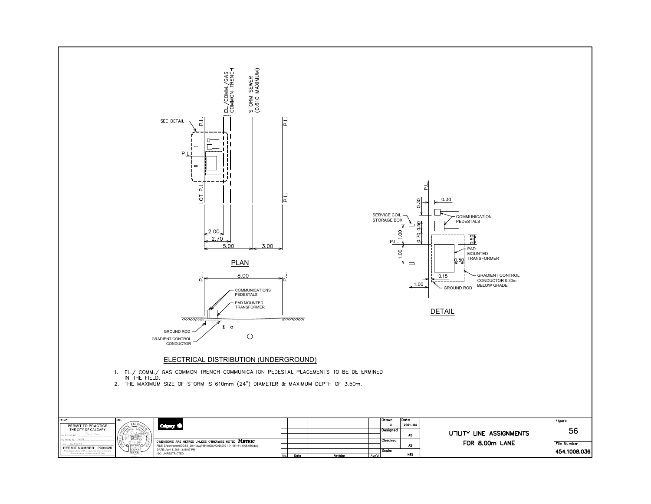